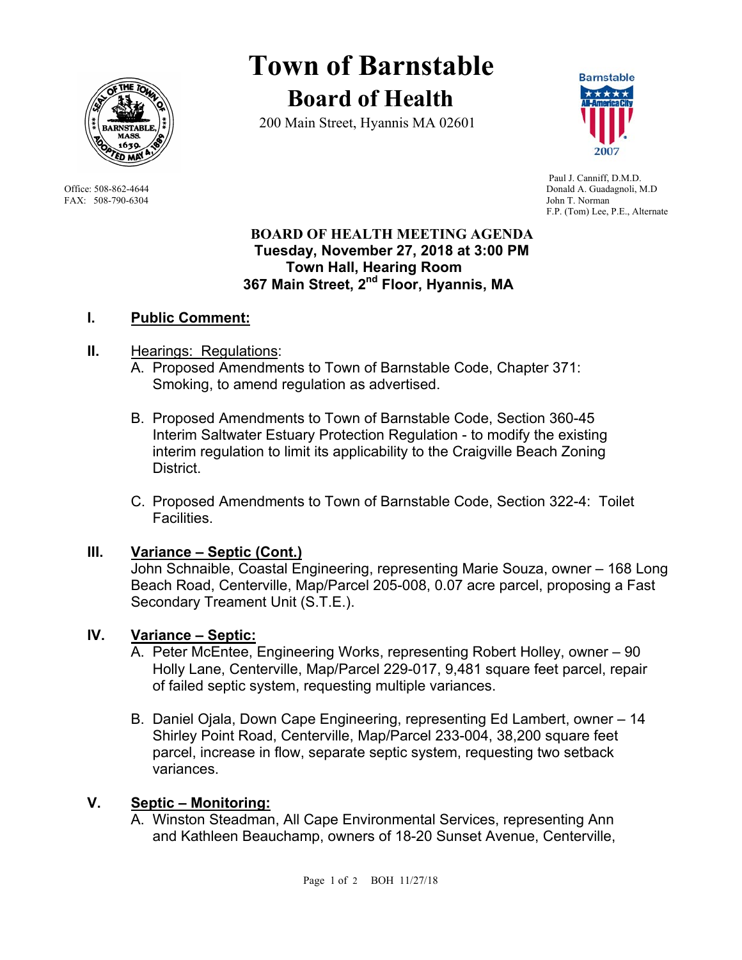

FAX: 508-790-6304 John T. Norman

# **Town of Barnstable Board of Health**

200 Main Street, Hyannis MA 02601



 Paul J. Canniff, D.M.D. Office: 508-862-4644 Donald A. Guadagnoli, M.D F.P. (Tom) Lee, P.E., Alternate

#### **BOARD OF HEALTH MEETING AGENDA Tuesday, November 27, 2018 at 3:00 PM Town Hall, Hearing Room 367 Main Street, 2nd Floor, Hyannis, MA**

## **I. Public Comment:**

## **II.** Hearings: Regulations:

- A. Proposed Amendments to Town of Barnstable Code, Chapter 371: Smoking, to amend regulation as advertised.
- B. Proposed Amendments to Town of Barnstable Code, Section 360-45 Interim Saltwater Estuary Protection Regulation - to modify the existing interim regulation to limit its applicability to the Craigville Beach Zoning District.
- C. Proposed Amendments to Town of Barnstable Code, Section 322-4: Toilet Facilities.

## **III. Variance – Septic (Cont.)**

John Schnaible, Coastal Engineering, representing Marie Souza, owner – 168 Long Beach Road, Centerville, Map/Parcel 205-008, 0.07 acre parcel, proposing a Fast Secondary Treament Unit (S.T.E.).

## **IV. Variance – Septic:**

- A. Peter McEntee, Engineering Works, representing Robert Holley, owner 90 Holly Lane, Centerville, Map/Parcel 229-017, 9,481 square feet parcel, repair of failed septic system, requesting multiple variances.
- B. Daniel Ojala, Down Cape Engineering, representing Ed Lambert, owner 14 Shirley Point Road, Centerville, Map/Parcel 233-004, 38,200 square feet parcel, increase in flow, separate septic system, requesting two setback variances.

## **V. Septic – Monitoring:**

A. Winston Steadman, All Cape Environmental Services, representing Ann and Kathleen Beauchamp, owners of 18-20 Sunset Avenue, Centerville,